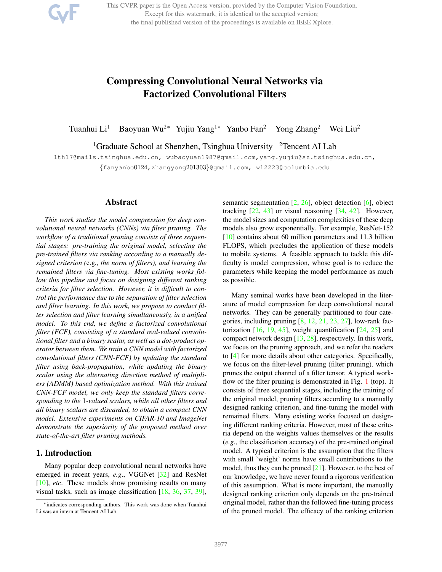This CVPR paper is the Open Access version, provided by the Computer Vision Foundation. Except for this watermark, it is identical to the accepted version; the final published version of the proceedings is available on IEEE Xplore.



Tuanhui Li<sup>1</sup> Baoyuan Wu<sup>2∗</sup> Yujiu Yang<sup>1∗</sup> Yanbo Fan<sup>2</sup> Yong Zhang<sup>2</sup> Wei Liu<sup>2</sup>

<sup>1</sup>Graduate School at Shenzhen, Tsinghua University <sup>2</sup>Tencent AI Lab

lth17@mails.tsinghua.edu.cn, wubaoyuan1987@gmail.com,yang.yujiu@sz.tsinghua.edu.cn, {fanyanbo0124,zhangyong201303}@gmail.com, wl2223@columbia.edu

### Abstract

*This work studies the model compression for deep convolutional neural networks (CNNs) via filter pruning. The workflow of a traditional pruning consists of three sequential stages: pre-training the original model, selecting the pre-trained filters via ranking according to a manually designed criterion (*e.g*., the norm of filters), and learning the remained filters via fine-tuning. Most existing works follow this pipeline and focus on designing different ranking criteria for filter selection. However, it is difficult to control the performance due to the separation of filter selection and filter learning. In this work, we propose to conduct filter selection and filter learning simultaneously, in a unified model. To this end, we define a factorized convolutional filter (FCF), consisting of a standard real-valued convolutional filter and a binary scalar, as well as a dot-product operator between them. We train a CNN model with factorized convolutional filters (CNN-FCF) by updating the standard filter using back-propagation, while updating the binary scalar using the alternating direction method of multipliers (ADMM) based optimization method. With this trained CNN-FCF model, we only keep the standard filters corresponding to the* 1*-valued scalars, while all other filters and all binary scalars are discarded, to obtain a compact CNN model. Extensive experiments on CIFAR-10 and ImageNet demonstrate the superiority of the proposed method over state-of-the-art filter pruning methods.*

### 1. Introduction

Many popular deep convolutional neural networks have emerged in recent years, *e.g*., VGGNet [32] and ResNet [10], *etc*. These models show promising results on many visual tasks, such as image classification [18, 36, 37, 39],

semantic segmentation [2, 26], object detection [6], object tracking  $[22, 43]$  or visual reasoning  $[34, 42]$ . However, the model sizes and computation complexities of these deep models also grow exponentially. For example, ResNet-152 [10] contains about 60 million parameters and 11.3 billion FLOPS, which precludes the application of these models to mobile systems. A feasible approach to tackle this difficulty is model compression, whose goal is to reduce the parameters while keeping the model performance as much as possible.

Many seminal works have been developed in the literature of model compression for deep convolutional neural networks. They can be generally partitioned to four categories, including pruning  $[8, 12, 21, 23, 27]$ , low-rank factorization  $[16, 19, 45]$ , weight quantification  $[24, 25]$  and compact network design [13, 28], respectively. In this work, we focus on the pruning approach, and we refer the readers to [4] for more details about other categories. Specifically, we focus on the filter-level pruning (filter pruning), which prunes the output channel of a filter tensor. A typical workflow of the filter pruning is demonstrated in Fig. 1 (top). It consists of three sequential stages, including the training of the original model, pruning filters according to a manually designed ranking criterion, and fine-tuning the model with remained filters. Many existing works focused on designing different ranking criteria. However, most of these criteria depend on the weights values themselves or the results (*e.g*., the classification accuracy) of the pre-trained original model. A typical criterion is the assumption that the filters with small 'weight' norms have small contributions to the model, thus they can be pruned  $[21]$ . However, to the best of our knowledge, we have never found a rigorous verification of this assumption. What is more important, the manually designed ranking criterion only depends on the pre-trained original model, rather than the followed fine-tuning process of the pruned model. The efficacy of the ranking criterion

<sup>∗</sup>indicates corresponding authors. This work was done when Tuanhui Li was an intern at Tencent AI Lab.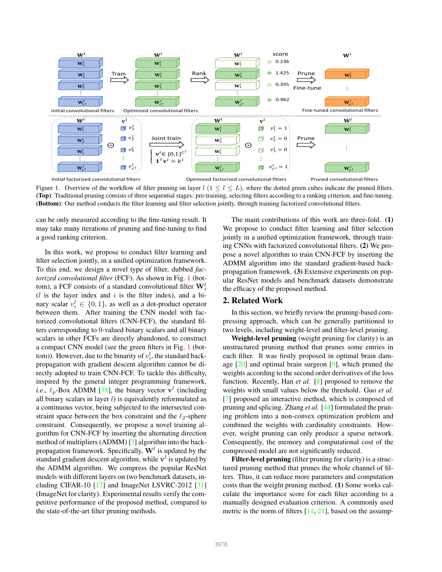

Figure 1. Overview of the workflow of filter pruning on layer  $l$  ( $1 \leq l \leq L$ ), where the dotted green cubes indicate the pruned filters. (Top): Traditional pruning consists of three sequential stages: pre-training, selecting filters according to a ranking criterion, and fine-tuning. (Bottom): Our method conducts the filter learning and filter selection jointly, through training factorized convolutional filters.

can be only measured according to the fine-tuning result. It may take many iterations of pruning and fine-tuning to find a good ranking criterion.

In this work, we propose to conduct filter learning and filter selection jointly, in a unified optimization framework. To this end, we design a novel type of filter, dubbed *factorized convolutional filter* (FCF). As shown in Fig. 1 (bottom), a FCF consists of a standard convolutional filter  $\mathbf{W}_i^l$  $(l$  is the layer index and i is the filter index), and a binary scalar  $v_i^l \in \{0, 1\}$ , as well as a dot-product operator between them. After training the CNN model with factorized convolutional filters (CNN-FCF), the standard filters corresponding to 0-valued binary scalars and all binary scalars in other FCFs are directly abandoned, to construct a compact CNN model (see the green filters in Fig. 1 (bottom)). However, due to the binarity of  $v_i^l$ , the standard backpropagation with gradient descent algorithm cannot be directly adopted to train CNN-FCF. To tackle this difficulty, inspired by the general integer programming framework, *i.e.*,  $\ell_p$ -Box ADMM [38], the binary vector  $v^l$  (including all binary scalars in layer  $l$ ) is equivalently reformulated as a continuous vector, being subjected to the intersected constraint space between the box constraint and the  $\ell_2$ -sphere constraint. Consequently, we propose a novel training algorithm for CNN-FCF by inserting the alternating direction method of multipliers (ADMM) [3] algorithm into the backpropagation framework. Specifically,  $\mathbf{W}^l$  is updated by the standard gradient descent algorithm, while  $v<sup>l</sup>$  is updated by the ADMM algorithm. We compress the popular ResNet models with different layers on two benchmark datasets, including CIFAR-10 [17] and ImageNet LSVRC-2012 [31] (ImageNet for clarity). Experimental results verify the competitive performance of the proposed method, compared to the state-of-the-art filter pruning methods.

The main contributions of this work are three-fold. (1) We propose to conduct filter learning and filter selection jointly in a unified optimization framework, through training CNNs with factorized convolutional filters. (2) We propose a novel algorithm to train CNN-FCF by inserting the ADMM algorithm into the standard gradient-based backpropagation framework. (3) Extensive experiments on popular ResNet models and benchmark datasets demonstrate the efficacy of the proposed method.

# 2. Related Work

In this section, we briefly review the pruning-based compressing approach, which can be generally partitioned to two levels, including weight-level and filter-level pruning.

Weight-level pruning (weight pruning for clarity) is an unstructured pruning method that prunes some entries in each filter. It was firstly proposed in optimal brain damage  $[20]$  and optimal brain surgeon  $[9]$ , which pruned the weights according to the second order derivatives of the loss function. Recently, Han *et al.* [8] proposed to remove the weights with small values below the threshold. Guo *et al.* [7] proposed an interactive method, which is composed of pruning and splicing. Zhang *et al.* [44] formulated the pruning problem into a non-convex optimization problem and combined the weights with cardinality constraints. However, weight pruning can only produce a sparse network. Consequently, the memory and computational cost of the compressed model are not significantly reduced.

Filter-level pruning (filter pruning for clarity) is a structured pruning method that prunes the whole channel of filters. Thus, it can reduce more parameters and computation costs than the weight pruning method. (1) Some works calculate the importance score for each filter according to a manually designed evaluation criterion. A commonly used metric is the norm of filters  $[11, 21]$ , based on the assump-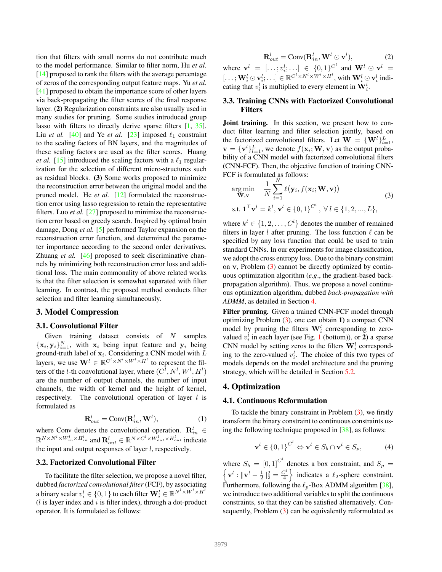tion that filters with small norms do not contribute much to the model performance. Similar to filter norm, Hu *et al.* [14] proposed to rank the filters with the average percentage of zeros of the corresponding output feature maps. Yu *et al.* [41] proposed to obtain the importance score of other layers via back-propagating the filter scores of the final response layer. (2) Regularization constraints are also usually used in many studies for pruning. Some studies introduced group lasso with filters to directly derive sparse filters [1, 35]. Liu *et al.* [40] and Ye *et al.* [23] imposed  $\ell_1$  constraint to the scaling factors of BN layers, and the magnitudes of these scaling factors are used as the filter scores. Huang *et al.* [15] introduced the scaling factors with a  $\ell_1$  regularization for the selection of different micro-structures such as residual blocks. (3) Some works proposed to minimize the reconstruction error between the original model and the pruned model. He *et al.* [12] formulated the reconstruction error using lasso regression to retain the representative filters. Luo *et al.* [27] proposed to minimize the reconstruction error based on greedy search. Inspired by optimal brain damage, Dong *et al.* [5] performed Taylor expansion on the reconstruction error function, and determined the parameter importance according to the second order derivatives. Zhuang *et al.* [46] proposed to seek discriminative channels by minimizing both reconstruction error loss and additional loss. The main commonality of above related works is that the filter selection is somewhat separated with filter learning. In contrast, the proposed method conducts filter selection and filter learning simultaneously.

### 3. Model Compression

### 3.1. Convolutional Filter

Given training dataset consists of  $N$  samples  ${x_i, y_i}_{i=1}^N$ , with  $x_i$  being input feature and  $y_i$  being ground-truth label of  $x_i$ . Considering a CNN model with L layers, we use  $\mathbf{W}^{l} \in \mathbb{R}^{C^{l} \times N^{l} \times W^{l} \times H^{l}}$  to represent the filters of the *l*-th convolutional layer, where  $(C^l, N^l, W^l, H^l)$ are the number of output channels, the number of input channels, the width of kernel and the height of kernel, respectively. The convolutional operation of layer  $l$  is formulated as

$$
\mathbf{R}_{out}^l = \text{Conv}(\mathbf{R}_{in}^l, \mathbf{W}^l),\tag{1}
$$

where Conv denotes the convolutional operation.  $\mathbf{R}_{in}^{l} \in$  $\mathbb{R}^{N\times N^l\times W^l_{in}\times H^l_{in}}$  and  $\mathbf{R}^l_{out}\in\mathbb{R}^{N\times C^l\times W^l_{out}\times H^l_{out}}$  indicate the input and output responses of layer  $l$ , respectively.

#### 3.2. Factorized Convolutional Filter

To facilitate the filter selection, we propose a novel filter, dubbed *factorized convolutional filter* (FCF), by associating a binary scalar  $v_i^l \in \{0,1\}$  to each filter  $\mathbf{W}_i^l \in \mathbb{R}^{N^l \times W^l \times H^l}$  $(l$  is layer index and  $i$  is filter index), through a dot-product operator. It is formulated as follows:

$$
\mathbf{R}_{out}^l = \text{Conv}(\mathbf{R}_{in}^l, \mathbf{W}^l \odot \mathbf{v}^l),\tag{2}
$$

where  $\mathbf{v}^l = [\dots; v_i^l; \dots] \in \{0, 1\}^{C^l}$  and  $\mathbf{W}^l \odot \mathbf{v}^l =$  $[\ldots; \mathbf{W}_i^l\odot \mathbf{v}_i^l;\ldots]\in \mathbb{R}^{C^l\times N^l\times W^l\times H^l},$  with  $\mathbf{W}_i^l\odot \mathbf{v}_i^l$  indicating that  $v_i^l$  is multiplied to every element in  $\mathbf{W}_i^l$ .

### 3.3. Training CNNs with Factorized Convolutional Filters

Joint training. In this section, we present how to conduct filter learning and filter selection jointly, based on the factorized convolutional filters. Let  $\mathbf{W} = \{\mathbf{W}^l\}_{l=1}^L$ ,  $\mathbf{v} = {\mathbf{v}^l}_{l=1}^L$ , we denote  $f(\mathbf{x}_i; \mathbf{W}, \mathbf{v})$  as the output probability of a CNN model with factorized convolutional filters (CNN-FCF). Then, the objective function of training CNN-FCF is formulated as follows:

$$
\arg\min_{\mathbf{W},\mathbf{v}} \quad \frac{1}{N} \sum_{i=1}^{N} \ell(\mathbf{y}_i, f(\mathbf{x}_i; \mathbf{W}, \mathbf{v}))
$$
\n
$$
\text{s.t. } \mathbf{1}^\top \mathbf{v}^l = k^l, \mathbf{v}^l \in \{0, 1\}^{C^l}, \ \forall \ l \in \{1, 2, ..., L\},
$$
\n
$$
(3)
$$

where  $k^l \in \{1, 2, \ldots, C^l\}$  denotes the number of remained filters in layer l after pruning. The loss function  $\ell$  can be specified by any loss function that could be used to train standard CNNs. In our experiments for image classification, we adopt the cross entropy loss. Due to the binary constraint on v, Problem (3) cannot be directly optimized by continuous optimization algorithm (*e.g*., the gradient-based backpropagation algorithm). Thus, we propose a novel continuous optimization algorithm, dubbed *back-propagation with ADMM*, as detailed in Section 4.

Filter pruning. Given a trained CNN-FCF model through optimizing Problem (3), one can obtain 1) a compact CNN model by pruning the filters  $\mathbf{W}_i^l$  corresponding to zerovalued  $v_i^l$  in each layer (see Fig. 1 (bottom)), or 2) a sparse CNN model by setting zeros to the filters  $\mathbf{W}_i^l$  corresponding to the zero-valued  $v_i^l$ . The choice of this two types of models depends on the model architecture and the pruning strategy, which will be detailed in Section 5.2.

#### 4. Optimization

### 4.1. Continuous Reformulation

To tackle the binary constraint in Problem  $(3)$ , we firstly transform the binary constraint to continuous constraints using the following technique proposed in [38], as follows:

$$
\mathbf{v}^{l} \in \{0,1\}^{C^{l}} \Leftrightarrow \mathbf{v}^{l} \in S_{b} \cap \mathbf{v}^{l} \in S_{p},\tag{4}
$$

where  $S_b = [0, 1]^{C^l}$  denotes a box constraint, and  $S_p =$  $\left\{ \mathbf{v}^{l}:\|\mathbf{v}^{l}-\frac{1}{2}\|_{2}^{2}=\frac{C^{l}}{4}\right\}$  $\left\{\frac{C^l}{4}\right\}$  indicates a  $\ell_2$ -sphere constraint. Furthermore, following the  $\ell_p$ -Box ADMM algorithm [38], we introduce two additional variables to split the continuous constraints, so that they can be satisfied alternatively. Consequently, Problem (3) can be equivalently reformulated as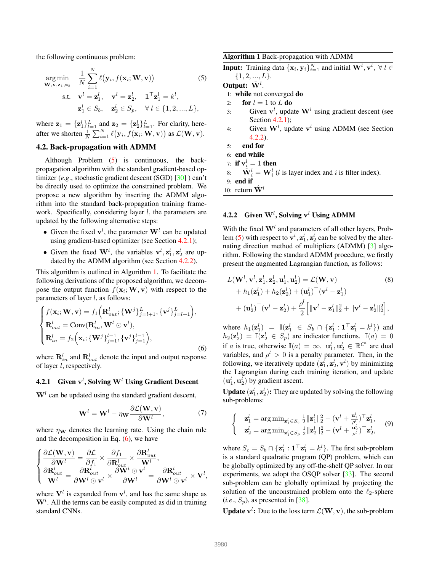the following continuous problem:

$$
\arg\min_{\mathbf{W},\mathbf{v},\mathbf{z}_1,\mathbf{z}_2} \quad \frac{1}{N} \sum_{i=1}^N \ell(\mathbf{y}_i, f(\mathbf{x}_i; \mathbf{W}, \mathbf{v}))
$$
(5)  
s.t. 
$$
\mathbf{v}^l = \mathbf{z}_1^l, \quad \mathbf{v}^l = \mathbf{z}_2^l, \quad \mathbf{1}^\top \mathbf{z}_1^l = k^l,
$$

$$
\mathbf{z}_1^l \in S_b, \quad \mathbf{z}_2^l \in S_p, \quad \forall l \in \{1, 2, ..., L\},
$$

where  $\mathbf{z}_1 = {\mathbf{z}_1^l}_{l=1}^L$  and  $\mathbf{z}_2 = {\mathbf{z}_2^l}_{l=1}^L$ . For clarity, hereafter we shorten  $\frac{1}{N} \sum_{i=1}^{N} \ell(\mathbf{y}_i, f(\mathbf{x}_i; \mathbf{W}, \mathbf{v}))$  as  $\mathcal{L}(\mathbf{W}, \mathbf{v})$ .

### 4.2. Back-propagation with ADMM

Although Problem (5) is continuous, the backpropagation algorithm with the standard gradient-based optimizer (*e.g*., stochastic gradient descent (SGD) [30] ) can't be directly used to optimize the constrained problem. We propose a new algorithm by inserting the ADMM algorithm into the standard back-propagation training framework. Specifically, considering layer  $l$ , the parameters are updated by the following alternative steps:

- Given the fixed  $v^l$ , the parameter  $W^l$  can be updated using gradient-based optimizer (see Section 4.2.1);
- Given the fixed  $W^l$ , the variables  $v^l$ ,  $z_1^l$ ,  $z_2^l$  are updated by the ADMM algorithm (see Section 4.2.2).

This algorithm is outlined in Algorithm 1. To facilitate the following derivations of the proposed algorithm, we decompose the output function  $f(\mathbf{x}_i; \mathbf{W}, \mathbf{v})$  with respect to the parameters of layer  $l$ , as follows:

$$
\begin{cases}\nf(\mathbf{x}_i; \mathbf{W}, \mathbf{v}) = f_1\left(\mathbf{R}_{out}^l; \{\mathbf{W}^j\}_{j=l+1}^L, \{\mathbf{v}^j\}_{j=l+1}^L\right), \\
\mathbf{R}_{out}^l = \text{Conv}(\mathbf{R}_{in}^l, \mathbf{W}^l \odot \mathbf{v}^l), \\
\mathbf{R}_{in}^l = f_2\left(\mathbf{x}_i; \{\mathbf{W}^j\}_{j=1}^{l-1}, \{\mathbf{v}^j\}_{j=1}^{l-1}\right),\n\end{cases}
$$
\n(6)

where  $\mathbf{R}_{in}^l$  and  $\mathbf{R}_{out}^l$  denote the input and output response of layer l, respectively.

### 4.2.1 Given  $\mathbf{v}^l$ , Solving  $\mathbf{W}^l$  Using Gradient Descent

 $W<sup>l</sup>$  can be updated using the standard gradient descent,

$$
\mathbf{W}^{l} = \mathbf{W}^{l} - \eta \mathbf{w} \frac{\partial \mathcal{L}(\mathbf{W}, \mathbf{v})}{\partial \mathbf{W}^{l}},
$$
(7)

where  $\eta_{\mathbf{W}}$  denotes the learning rate. Using the chain rule and the decomposition in Eq.  $(6)$ , we have

$$
\left\{ \begin{aligned} &\frac{\partial \mathcal{L}(\mathbf{W}, \mathbf{v})}{\partial \mathbf{W}^l} = \frac{\partial \mathcal{L}}{\partial f_1} \times \frac{\partial f_1}{\partial \mathbf{R}^l_{out}} \times \frac{\partial \mathbf{R}^l_{out}}{\mathbf{W}^l}, \\ &\frac{\partial \mathbf{R}^l_{out}}{\mathbf{W}^l} = \frac{\partial \mathbf{R}^l_{out}}{\partial \mathbf{W}^l \odot \mathbf{v}^l} \times \frac{\partial \mathbf{W}^l \odot \mathbf{v}^l}{\partial \mathbf{W}^l} = \frac{\partial \mathbf{R}^l_{out}}{\partial \mathbf{W}^l \odot \mathbf{v}^l} \times \mathbf{V}^l, \end{aligned} \right.
$$

where  $V^l$  is expanded from  $v^l$ , and has the same shape as  $W<sup>l</sup>$ . All the terms can be easily computed as did in training standard CNNs.

Algorithm 1 Back-propagation with ADMM

**Input:** Training data  $\{\mathbf{x}_i, \mathbf{y}_i\}_{i=1}^N$  and initial  $\mathbf{W}^l, \mathbf{v}^l, \ \forall \ l \in$  $\{1, 2, ..., L\}.$ 

# Output:  $\hat{\mathbf{W}}^l$ .

1: while not converged do

- 2: for  $l = 1$  to  $L$  do
- 3: Given  $v^l$ , update  $W^l$  using gradient descent (see Section 4.2.1);
- 4: Given  $W<sup>l</sup>$ , update  $v<sup>l</sup>$  using ADMM (see Section 4.2.2).
- 5: end for
- 6: end while
- 7: if  $\mathbf{v}_i^l = 1$  then
- 8:  $\hat{\mathbf{W}}_i^l = \mathbf{W}_i^l$  (*l* is layer index and *i* is filter index).

9: end if

10: return  $\hat{\mathbf{W}}^l$ 

### **4.2.2** Given  $W<sup>l</sup>$ , Solving v<sup>l</sup> Using ADMM

With the fixed  $\mathbf{W}^l$  and parameters of all other layers, Problem (5) with respect to  $\mathbf{v}^l, \mathbf{z}_1^l, \mathbf{z}_2^l$  can be solved by the alternating direction method of multipliers (ADMM) [3] algorithm. Following the standard ADMM procedure, we firstly present the augmented Lagrangian function, as follows:

$$
L(\mathbf{W}^{l}, \mathbf{v}^{l}, \mathbf{z}_{1}^{l}, \mathbf{z}_{2}^{l}, \mathbf{u}_{1}^{l}, \mathbf{u}_{2}^{l}) = \mathcal{L}(\mathbf{W}, \mathbf{v})
$$
(8)  
+  $h_{1}(\mathbf{z}_{1}^{l}) + h_{2}(\mathbf{z}_{2}^{l}) + (\mathbf{u}_{1}^{l})^{\top}(\mathbf{v}^{l} - \mathbf{z}_{1}^{l})$   
+  $(\mathbf{u}_{2}^{l})^{\top}(\mathbf{v}^{l} - \mathbf{z}_{2}^{l}) + \frac{\rho^{l}}{2} [\|\mathbf{v}^{l} - \mathbf{z}_{1}^{l}\|_{2}^{2} + \|\mathbf{v}^{l} - \mathbf{z}_{2}^{l}\|_{2}^{2}],$ 

where  $h_1(\mathbf{z}_1^l) = \mathbb{I}(\mathbf{z}_1^l \in S_b \cap {\{\mathbf{z}_1^l : \mathbf{1}^\top \mathbf{z}_1^l = k^l\}})$  and  $h_2(\mathbf{z}_2^l) = \mathbb{I}(\mathbf{z}_2^l \in S_p)$  are indicator functions.  $\mathbb{I}(a) = 0$ if a is true, otherwise  $\mathbb{I}(a) = \infty$ .  $\mathbf{u}_1^l, \mathbf{u}_2^l \in \mathbb{R}^{C^l}$  are dual variables, and  $\rho^l > 0$  is a penalty parameter. Then, in the following, we iteratively update  $(\mathbf{z}_1^l, \mathbf{z}_2^l, \mathbf{v}^l)$  by minimizing the Lagrangian during each training iteration, and update  $(\mathbf{u}_1^l, \mathbf{u}_2^l)$  by gradient ascent.

**Update**  $(\mathbf{z}_1^l, \mathbf{z}_2^l)$ : They are updated by solving the following sub-problems:

$$
\begin{cases}\n\mathbf{z}_1^l = \arg \min_{\mathbf{z}_1^l \in S_c} \frac{1}{2} \|\mathbf{z}_1^l\|_2^2 - (\mathbf{v}^l + \frac{\mathbf{u}_1^l}{\rho^l})^\top \mathbf{z}_1^l, \\
\mathbf{z}_2^l = \arg \min_{\mathbf{z}_1^l \in S_p} \frac{1}{2} \|\mathbf{z}_2^l\|_2^2 - (\mathbf{v}^l + \frac{\mathbf{u}_2^l}{\rho^l})^\top \mathbf{z}_2^l,\n\end{cases} \tag{9}
$$

where  $S_c = S_b \cap \{ \mathbf{z}_1^l : \mathbf{1}^\top \mathbf{z}_1^l = k^l \}$ . The first sub-problem is a standard quadratic program (QP) problem, which can be globally optimized by any off-the-shelf QP solver. In our experiments, we adopt the OSQP solver [33]. The second sub-problem can be globally optimized by projecting the solution of the unconstrained problem onto the  $\ell_2$ -sphere  $(i.e., S_p)$ , as presented in [38].

**Update**  $v^l$ : Due to the loss term  $\mathcal{L}(\mathbf{W}, \mathbf{v})$ , the sub-problem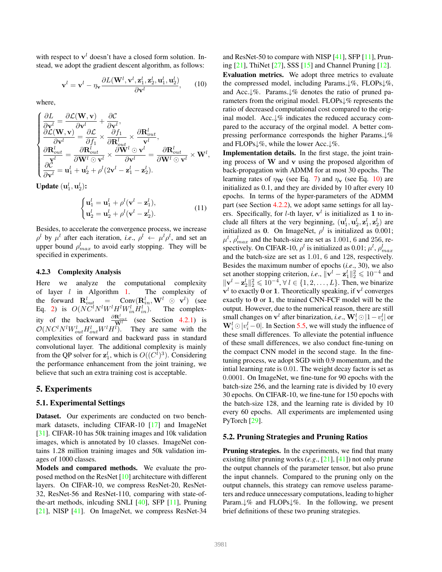with respect to  $v<sup>l</sup>$  doesn't have a closed form solution. Instead, we adopt the gradient descent algorithm, as follows:

$$
\mathbf{v}^{l} = \mathbf{v}^{l} - \eta_{\mathbf{v}} \frac{\partial L(\mathbf{W}^{l}, \mathbf{v}^{l}, \mathbf{z}_{1}^{l}, \mathbf{z}_{2}^{l}, \mathbf{u}_{1}^{l}, \mathbf{u}_{2}^{l})}{\partial \mathbf{v}^{l}}, \qquad (10)
$$

where,

$$
\begin{cases}\n\frac{\partial L}{\partial \mathbf{v}^l} = \frac{\partial \mathcal{L}(\mathbf{W}, \mathbf{v})}{\partial \mathbf{v}^l} + \frac{\partial \mathcal{C}}{\partial \mathbf{v}^l}, \n\frac{\partial \mathcal{L}(\mathbf{W}, \mathbf{v})}{\partial \mathbf{v}^l} = \frac{\partial \mathcal{L}}{\partial f_1} \times \frac{\partial f_1}{\partial \mathbf{R}_{out}^l} \times \frac{\partial \mathbf{R}_{out}^l}{\mathbf{v}^l}, \n\frac{\partial \mathbf{R}_{out}^l}{\partial \mathbf{v}^l} = \frac{\partial \mathbf{R}_{out}^l}{\partial \mathbf{W}^l \odot \mathbf{v}^l} \times \frac{\partial \mathbf{W}^l \odot \mathbf{v}^l}{\partial \mathbf{v}^l} = \frac{\partial \mathbf{R}_{out}^l}{\partial \mathbf{W}^l \odot \mathbf{v}^l} \times \mathbf{W}^l, \n\frac{\partial \mathcal{C}}{\partial \mathbf{v}^l} = \mathbf{u}_1^l + \mathbf{u}_2^l + \rho^l (2\mathbf{v}^l - \mathbf{z}_1^l - \mathbf{z}_2^l).\n\end{cases}
$$

Update  $(\mathbf{u}_1^l, \mathbf{u}_2^l)$ :

$$
\begin{cases} \mathbf{u}_1^l = \mathbf{u}_1^l + \rho^l (\mathbf{v}^l - \mathbf{z}_1^l), \\ \mathbf{u}_2^l = \mathbf{u}_2^l + \rho^l (\mathbf{v}^l - \mathbf{z}_2^l). \end{cases}
$$
(11)

Besides, to accelerate the convergence process, we increase  $\rho^l$  by  $\mu^l$  after each iteration, *i.e.*,  $\rho^l \leftarrow \mu^l \rho^l$ , and set an upper bound  $\rho_{max}^l$  to avoid early stopping. They will be specified in experiments.

#### 4.2.3 Complexity Analysis

Here we analyze the computational complexity of layer  $l$  in Algorithm 1. The complexity of the forward  $\mathbf{R}_{out}^l$  = Conv $(\mathbf{R}_{in}^l, \mathbf{W}^l \odot \mathbf{v}^l)$  (see Eq. 2) is  $O(NC^lN^lW^lH^lW^l_{in}H^l_{in})$ . The complexity of the backward  $\frac{\partial \mathbf{R}_{out}^l}{\mathbf{W}^l}$  (see Section 4.2.1) is  $\mathcal{O}(NC^lN^lW_{out}^lH_{out}^lW^lH^l)$ . They are same with the complexities of forward and backward pass in standard convolutional layer. The additional complexity is mainly from the QP solver for  $\mathbf{z}_1^l$ , which is  $O((C^l)^3)$ . Considering the performance enhancement from the joint training, we believe that such an extra training cost is acceptable.

## 5. Experiments

#### 5.1. Experimental Settings

Dataset. Our experiments are conducted on two benchmark datasets, including CIFAR-10 [17] and ImageNet [31]. CIFAR-10 has 50k training images and 10k validation images, which is annotated by 10 classes. ImageNet contains 1.28 million training images and 50k validation images of 1000 classes.

Models and compared methods. We evaluate the proposed method on the ResNet [10] architecture with different layers. On CIFAR-10, we compress ResNet-20, ResNet-32, ResNet-56 and ResNet-110, comparing with state-ofthe-art methods, inlcuding SNLI [40], SFP [11], Pruning [21], NISP [41]. On ImageNet, we compress ResNet-34

and ResNet-50 to compare with NISP [41], SFP [11], Pruning [21], ThiNet [27], SSS [15] and Channel Pruning [12]. Evaluation metrics. We adopt three metrics to evaluate the compressed model, including Params.↓%, FLOPs↓%, and Acc.↓%. Params.↓% denotes the ratio of pruned parameters from the original model. FLOPs↓% represents the ratio of decreased computational cost compared to the original model. Acc.↓% indicates the reduced accuracy compared to the accuracy of the orginal model. A better compressing performance corresponds the higher Params.↓% and FLOPs↓%, while the lower Acc.↓%.

Implementation details. In the first stage, the joint training process of  $W$  and  $v$  using the proposed algorithm of back-propagation with ADMM for at most 30 epochs. The learning rates of  $\eta_{\mathbf{W}}$  (see Eq. 7) and  $\eta_{\mathbf{v}}$  (see Eq. 10) are initialized as 0.1, and they are divided by 10 after every 10 epochs. In terms of the hyper-parameters of the ADMM part (see Section 4.2.2), we adopt same settings for all layers. Specifically, for *l*-th layer,  $v^l$  is initialized as 1 to include all filters at the very beginning,  $(\mathbf{u}_1^l, \mathbf{u}_2^l, \mathbf{z}_1^l, \mathbf{z}_2^l)$  are initialized as 0. On ImageNet,  $\rho^l$  is initialized as 0.001;  $\mu^l$ ,  $\rho_{max}^l$  and the batch-size are set as 1.001, 6 and 256, respectively. On CIFAR-10,  $\rho^l$  is initialized as 0.01;  $\mu^l$ ,  $\rho_{max}^l$ and the batch-size are set as 1.01, 6 and 128, respectively. Besides the maximum number of epochs (*i.e*., 30), we also set another stopping criterion, *i.e.*,  $\|\mathbf{v}^l - \mathbf{z}_1^l\|_2^2 \leq 10^{-4}$  and  $\|\mathbf{v}^{l} - \mathbf{z}_{2}^{l}\|_{2}^{2} \leq 10^{-4}, \forall l \in \{1, 2, ..., L\}$ . Then, we binarize  $v<sup>l</sup>$  to exactly 0 or 1. Theoretically speaking, if  $v<sup>l</sup>$  converges exactly to 0 or 1, the trained CNN-FCF model will be the output. However, due to the numerical reason, there are still small changes on  $\mathbf{v}^l$  after binarization, *i.e*.,  $\mathbf{W}_i^l$  ⊙  $|1-v_i^l|$  or  $\mathbf{W}_i^l \odot |v_i^l - 0|$ . In Section 5.5, we will study the influence of these small differences. To alleviate the potential influence of these small differences, we also conduct fine-tuning on the compact CNN model in the second stage. In the finetuning process, we adopt SGD with 0.9 momentum, and the intial learning rate is 0.01. The weight decay factor is set as 0.0001. On ImageNet, we fine-tune for 90 epochs with the batch-size 256, and the learning rate is divided by 10 every 30 epochs. On CIFAR-10, we fine-tune for 150 epochs with the batch-size 128, and the learning rate is divided by 10 every 60 epochs. All experiments are implemented using PyTorch [29].

## 5.2. Pruning Strategies and Pruning Ratios

Pruning strategies. In the experiments, we find that many existing filter pruning works (*e.g*., [21], [41]) not only prune the output channels of the parameter tensor, but also prune the input channels. Compared to the pruning only on the output channels, this strategy can remove useless parameters and reduce unnecessary computations, leading to higher Param.↓% and FLOPs↓%. In the following, we present brief definitions of these two pruning strategies.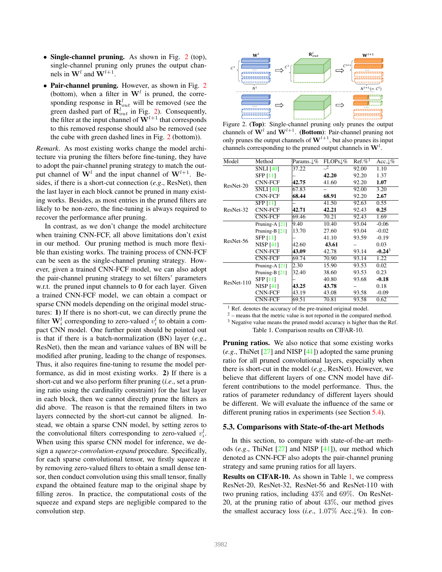- Single-channel pruning. As shown in Fig.  $2$  (top), single-channel pruning only prunes the output channels in  $\mathbf{W}^l$  and  $\mathbf{W}^{l+1}$ .
- Pair-channel pruning. However, as shown in Fig. 2 (bottom), when a filter in  $W<sup>l</sup>$  is pruned, the corresponding response in  $\mathbf{R}_{out}^l$  will be removed (see the green dashed part of  $\mathbf{R}_{out}^l$  in Fig. 2). Consequently, the filter at the input channel of  $W^{l+1}$  that corresponds to this removed response should also be removed (see the cube with green dashed lines in Fig. 2 (bottom)).

*Remark*. As most existing works change the model architecture via pruning the filters before fine-tuning, they have to adopt the pair-channel pruning strategy to match the output channel of  $W<sup>l</sup>$  and the input channel of  $W<sup>l+1</sup>$ . Besides, if there is a short-cut connection (*e.g*., ResNet), then the last layer in each block cannot be pruned in many existing works. Besides, as most entries in the pruned filters are likely to be non-zero, the fine-tuning is always required to recover the performance after pruning.

In contrast, as we don't change the model architecture when training CNN-FCF, all above limitations don't exist in our method. Our pruning method is much more flexible than existing works. The training process of CNN-FCF can be seen as the single-channel pruning strategy. However, given a trained CNN-FCF model, we can also adopt the pair-channel pruning strategy to set filters' parameters w.r.t. the pruned input channels to 0 for each layer. Given a trained CNN-FCF model, we can obtain a compact or sparse CNN models depending on the original model structures: 1) If there is no short-cut, we can directly prune the filter  $\mathbf{W}_i^l$  corresponding to zero-valued  $v_i^l$  to obtain a compact CNN model. One further point should be pointed out is that if there is a batch-normalization (BN) layer (*e.g*., ResNet), then the mean and variance values of BN will be modified after pruning, leading to the change of responses. Thus, it also requires fine-tuning to resume the model performance, as did in most existing works. 2) If there is a short-cut and we also perform filter pruning (*i.e*., set a pruning ratio using the cardinality constraint) for the last layer in each block, then we cannot directly prune the filters as did above. The reason is that the remained filters in two layers connected by the short-cut cannot be aligned. Instead, we obtain a sparse CNN model, by setting zeros to the convolutional filters corresponding to zero-valued  $v_i^l$ . When using this sparse CNN model for inference, we design a *squeeze-convolution-expand* procedure. Specifically, for each sparse convolutional tensor, we firstly squeeze it by removing zero-valued filters to obtain a small dense tensor, then conduct convolution using this small tensor, finally expand the obtained feature map to the original shape by filling zeros. In practice, the computational costs of the squeeze and expand steps are negligible compared to the convolution step.



Figure 2. (Top): Single-channel pruning only prunes the output channels of  $\mathbf{W}^l$  and  $\mathbf{W}^{l+1}$ . (Bottom): Pair-channel pruning not only prunes the output channels of  $W^{l+1}$ , but also prunes its input channels corresponding to the pruned output channels in  $W<sup>l</sup>$ .

| Model      | Method           | Params.↓% | $FLOPs\downarrow\%$ | $Ref. \%1$ | Acc. $\downarrow\%$ |
|------------|------------------|-----------|---------------------|------------|---------------------|
|            | <b>SNLI</b> [40] | 37.22     | $\mathbf{r}$        | 92.00      | 1.10                |
| ResNet-20  | <b>SFP [11]</b>  |           | 42.20               | 92.20      | 1.37                |
|            | <b>CNN-FCF</b>   | 42.75     | 41.60               | 92.20      | 1.07                |
|            | <b>SNLI</b> [40] | 67.83     |                     | 92.00      | 3.20                |
|            | <b>CNN-FCF</b>   | 68.44     | 68.91               | 92.20      | 2.67                |
| ResNet-32  | <b>SFP [11]</b>  |           | 41.50               | 92.63      | 0.55                |
|            | <b>CNN-FCF</b>   | 42.71     | 42.21               | 92.43      | 0.25                |
|            | <b>CNN-FCF</b>   | 69.46     | 70.21               | 92.43      | 1.69                |
| ResNet-56  | Pruning-A [21]   | 9.40      | 10.40               | 93.04      | $-0.06$             |
|            | Pruning-B $[21]$ | 13.70     | 27.60               | 93.04      | $-0.02$             |
|            | <b>SFP [11]</b>  |           | 41.10               | 93.59      | $-0.19$             |
|            | <b>NISP [41]</b> | 42.60     | 43.61               |            | 0.03                |
|            | <b>CNN-FCF</b>   | 43.09     | 42.78               | 93.14      | $-0.24^3$           |
|            | <b>CNN-FCF</b>   | 69.74     | 70.90               | 93.14      | 1.22                |
| ResNet-110 | Pruning-A [21]   | 2.30      | 15.90               | 93.53      | 0.02                |
|            | Pruning-B [21]   | 32.40     | 38.60               | 93.53      | 0.23                |
|            | <b>SFP [11]</b>  |           | 40.80               | 93.68      | $-0.18$             |
|            | <b>NISP</b> [41] | 43.25     | 43.78               |            | 0.18                |
|            | CNN-FCF          | 43.19     | 43.08               | 93.58      | $-0.09$             |
|            | <b>CNN-FCF</b>   | 69.51     | 70.81               | 93.58      | 0.62                |

<sup>1</sup> Ref. denotes the accuracy of the pre-trained original model.

 $2 -$  means that the metric value is not reported in the compared method.

<sup>3</sup> Negative value means the pruned model accuracy is higher than the Ref. Table 1. Comparison results on CIFAR-10.

Pruning ratios. We also notice that some existing works (*e.g*., ThiNet [27] and NISP [41]) adopted the same pruning ratio for all pruned convolutional layers, especially when there is short-cut in the model (*e.g*., ResNet). However, we believe that different layers of one CNN model have different contributions to the model performance. Thus, the ratios of parameter redundancy of different layers should be different. We will evaluate the influence of the same or different pruning ratios in experiments (see Section 5.4).

#### 5.3. Comparisons with State-of-the-art Methods

In this section, to compare with state-of-the-art methods (*e.g*., ThiNet [27] and NISP [41]), our method which denoted as CNN-FCF also adopts the pair-channel pruning strategy and same pruning ratios for all layers.

Results on CIFAR-10. As shown in Table 1, we compress ResNet-20, ResNet-32, ResNet-56 and ResNet-110 with two pruning ratios, including 43% and 69%. On ResNet-20, at the pruning ratio of about  $43\%$ , our method gives the smallest accuracy loss (*i.e*., 1.07% Acc.↓%). In con-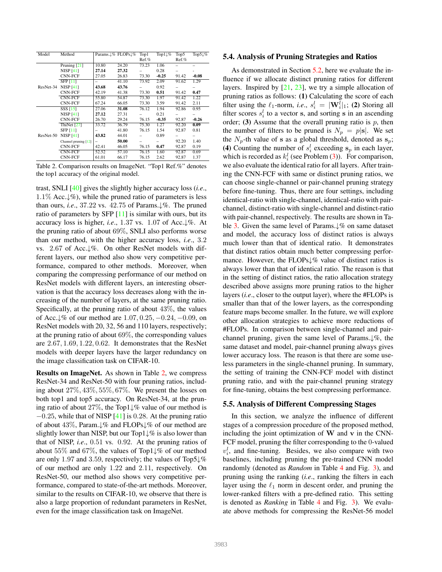| Model     | Method                 |       | Params. L% FLOPs L% | Top1     | Top1 $\downarrow\%$ | Top5     | Top5 $\downarrow\%$ |
|-----------|------------------------|-------|---------------------|----------|---------------------|----------|---------------------|
|           |                        |       |                     | $Ref.$ % |                     | $Ref.$ % |                     |
|           | Pruning $[21]$         | 10.80 | 24.20               | 73.23    | 1.06                |          |                     |
|           | <b>NISP</b> [41]       | 27.14 | 27.32               |          | 0.28                |          |                     |
|           | CNN-FCF                | 27.05 | 26.83               | 73.30    | $-0.25$             | 91.42    | $-0.08$             |
|           | SFP [11]               |       | 41.10               | 73.92    | 2.09                | 91.62    | 1.29                |
| ResNet-34 | <b>NISP</b> [41]       | 43.68 | 43.76               |          | 0.92                |          |                     |
|           | CNN-FCF                | 42.19 | 41.38               | 73.30    | 0.51                | 91.42    | 0.47                |
|           | <b>CNN-FCF</b>         | 55.80 | 54.87               | 73.30    | 1.97                | 91.42    | 1.22                |
|           | <b>CNN-FCF</b>         | 67.24 | 66.05               | 73.30    | 3.59                | 91.42    | 2.11                |
|           | SSS [15]               | 27.06 | 31.08               | 76.12    | 1.94                | 92.86    | 0.95                |
|           | <b>NISP</b> [41]       | 27.12 | 27.31               |          | 0.21                |          |                     |
|           | <b>CNN-FCF</b>         | 26.70 | 29.24               | 76.15    | $-0.35$             | 92.87    | $-0.26$             |
|           | ThiNet <sup>[27]</sup> | 33.72 | 36.79               | 75.30    | 1.27                | 92.20    | 0.09                |
|           | <b>SFP [11]</b>        |       | 41.80               | 76.15    | 1.54                | 92.87    | 0.81                |
| ResNet-50 | <b>NISP</b> [41]       | 43.82 | 44.01               |          | 0.89                |          |                     |
|           | Channel pruning [12]   | -     | 50.00               |          |                     | 92.20    | 1.40                |
|           | <b>CNN-FCF</b>         | 42.41 | 46.05               | 76.15    | 0.47                | 92.87    | 0.19                |
|           | <b>CNN-FCF</b>         | 52.52 | 57.10               | 76.15    | 1.60                | 92.87    | 0.69                |
|           | <b>CNN-FCF</b>         | 61.01 | 66.17               | 76.15    | 2.62                | 92.87    | 1.37                |

Table 2. Comparison results on ImageNet. "Top1 Ref.%" denotes the top1 accuracy of the original model.

trast, SNLI [40] gives the slightly higher accuracy loss (*i.e*., 1.1% Acc.↓%), while the pruned ratio of parameters is less than ours, *i.e*., 37.22 vs. 42.75 of Params.↓%. The pruned ratio of parameters by SFP [11] is similar with ours, but its accuracy loss is higher, *i.e*., 1.37 vs. 1.07 of Acc.↓%. At the pruning ratio of about 69%, SNLI also performs worse than our method, with the higher accuracy loss, *i.e*., 3.2 vs. 2.67 of Acc.↓%. On other ResNet models with different layers, our method also show very competitive performance, compared to other methods. Moreover, when comparing the compressing performance of our method on ResNet models with different layers, an interesting observation is that the accuracy loss decreases along with the increasing of the number of layers, at the same pruning ratio. Specifically, at the pruning ratio of about 43%, the values of Acc. $\sqrt{\%}$  of our method are 1.07, 0.25, −0.24, −0.09, on ResNet models with 20, 32, 56 and 110 layers, respectively; at the pruning ratio of about 69%, the corresponding values are 2.67, 1.69, 1.22, 0.62. It demonstrates that the ResNet models with deeper layers have the larger redundancy on the image classification task on CIFAR-10.

Results on ImageNet. As shown in Table 2, we compress ResNet-34 and ResNet-50 with four pruning ratios, including about 27%, 43%, 55%, 67%. We present the losses on both top1 and top5 accuracy. On ResNet-34, at the pruning ratio of about 27%, the Top1↓% value of our method is  $-0.25$ , while that of NISP [41] is 0.28. At the pruning ratio of about 43%, Param.↓% and FLOPs↓% of our method are slightly lower than NISP, but our Top1 $\downarrow\%$  is also lower than that of NISP, *i.e*., 0.51 vs. 0.92. At the pruning ratios of about 55% and 67%, the values of Top1↓% of our method are only 1.97 and 3.59, respectively; the values of Top5↓% of our method are only 1.22 and 2.11, respectively. On ResNet-50, our method also shows very competitive performance, compared to state-of-the-art methods. Moreover, similar to the results on CIFAR-10, we observe that there is also a large proportion of redundant parameters in ResNet, even for the image classification task on ImageNet.

#### 5.4. Analysis of Pruning Strategies and Ratios

As demonstrated in Section 5.2, here we evaluate the influence if we allocate distinct pruning ratios for different layers. Inspired by  $[21, 23]$ , we try a simple allocation of pruning ratios as follows: (1) Calculating the score of each filter using the  $\ell_1$ -norm, *i.e.*,  $s_i^l = |\mathbf{W}_i^l|_1$ ; (2) Storing all filter scores  $s_i^l$  to a vector s, and sorting s in an ascending order; (3) Assume that the overall pruning ratio is  $p$ , then the number of filters to be pruned is  $N_p = p|\mathbf{s}|$ . We set the  $N_p$ -th value of s as a global threshold, denoted as  $s_p$ ; (4) Counting the number of  $s_i^l$  exceeding  $s_p$  in each layer, which is recorded as  $k_i^l$  (see Problem (3)). For comparison, we also evaluate the identical ratio for all layers. After training the CNN-FCF with same or distinct pruning ratios, we can choose single-channel or pair-channel pruning strategy before fine-tuning. Thus, there are four settings, including identical-ratio with single-channel, identical-ratio with pairchannel, distinct-ratio with single-channel and distinct-ratio with pair-channel, respectively. The results are shown in Table 3. Given the same level of Params.↓% on same dataset and model, the accuracy loss of distinct ratios is always much lower than that of identical ratio. It demonstrates that distinct ratios obtain much better compressing performance. However, the FLOPs↓% value of distinct ratios is always lower than that of identical ratio. The reason is that in the setting of distinct ratios, the ratio allocation strategy described above assigns more pruning ratios to the higher layers (*i.e*., closer to the output layer), where the #FLOPs is smaller than that of the lower layers, as the corresponding feature maps become smaller. In the future, we will explore other allocation strategies to achieve more reductions of #FLOPs. In comparison between single-channel and pairchannel pruning, given the same level of Params.↓%, the same dataset and model, pair-channel pruning always gives lower accuracy loss. The reason is that there are some useless parameters in the single-channel pruning. In summary, the setting of training the CNN-FCF model with distinct pruning ratio, and with the pair-channel pruning strategy for fine-tuning, obtains the best compressing performance.

#### 5.5. Analysis of Different Compressing Stages

In this section, we analyze the influence of different stages of a compression procedure of the proposed method, including the joint optimization of  $W$  and  $v$  in the CNN-FCF model, pruning the filter corresponding to the 0-valued  $v_i^l$ , and fine-tuning. Besides, we also compare with two baselines, including pruning the pre-trained CNN model randomly (denoted as *Random* in Table 4 and Fig. 3), and pruning using the ranking (*i.e*., ranking the filters in each layer using the  $\ell_1$  norm in descent order, and pruning the lower-ranked filters with a pre-defined ratio. This setting is denoted as *Ranking* in Table 4 and Fig. 3). We evaluate above methods for compressing the ResNet-56 model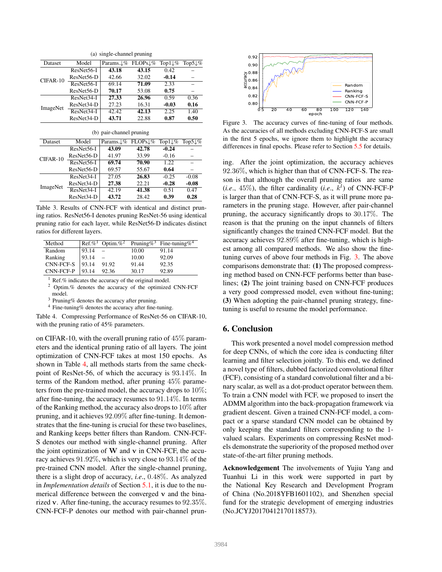| (a) single-channel pruning |            |            |                     |                     |                     |  |
|----------------------------|------------|------------|---------------------|---------------------|---------------------|--|
| Dataset                    | Model      | Params. L% | FLOPs L%            | Top1 $\downarrow\%$ | Top5 $\downarrow\%$ |  |
| CIFAR-10                   | ResNet56-I | 43.18      | 43.15               | 0.42                |                     |  |
|                            | ResNet56-D | 42.66      | 32.02               | $-0.14$             |                     |  |
|                            | ResNet56-I | 69.14      | 71.09               | 2.33                | -                   |  |
|                            | ResNet56-D | 70.17      | 53.08               | 0.75                |                     |  |
| ImageNet                   | ResNet34-I | 27.33      | 26.96               | 0.59                | 0.36                |  |
|                            | ResNet34-D | 27.23      | 16.31               | $-0.03$             | 0.16                |  |
|                            | ResNet34-I | 42.42      | 42.13               | 2.25                | 1.40                |  |
|                            | ResNet34-D | 43.71      | 22.88               | 0.87                | 0.50                |  |
| (b) pair-channel pruning   |            |            |                     |                     |                     |  |
| Dataset                    | Model      | Params. L% | $FLOPs\downarrow\%$ | Top1 $\downarrow\%$ | Top5 $\downarrow\%$ |  |
| $CIFAR-10$                 | ResNet56-I | 43.09      | 42.78               | $-0.24$             |                     |  |
|                            | ResNet56-D | 41.97      | 33.99               | $-0.16$             |                     |  |
|                            | ResNet56-I | 69.74      | 70.90               | 1.22                |                     |  |
|                            | ResNet56-D | 69.57      | 55.67               | 0.64                |                     |  |
| ImageNet                   | ResNet34-I | 27.05      | 26.83               | $-0.25$             | $-0.08$             |  |
|                            | ResNet34-D | 27.38      | 22.21               | $-0.28$             | $-0.08$             |  |
|                            | ResNet34-I | 42.19      | 41.38               | 0.51                | 0.47                |  |
|                            | ResNet34-D | 43.72      | 28.42               | 0.39                | 0.28                |  |

Table 3. Results of CNN-FCF with identical and distinct pruning ratios. ResNet56-I denotes pruning ResNet-56 using identical pruning ratio for each layer, while ResNet56-D indicates distinct ratios for different layers.

| Method    |       |                          |       | Ref.% <sup>1</sup> Optim.% <sup>2</sup> Pruning% <sup>3</sup> Fine-tuning% <sup>4</sup> |
|-----------|-------|--------------------------|-------|-----------------------------------------------------------------------------------------|
| Random    | 93.14 | $\overline{\phantom{a}}$ | 10.00 | 91.14                                                                                   |
| Ranking   | 93.14 |                          | 10.00 | 92.09                                                                                   |
| CNN-FCF-S | 93.14 | 91.92                    | 91.44 | 92.35                                                                                   |
| CNN-FCF-P | 93.14 | 92.36                    | 30.17 | 92.89                                                                                   |
|           |       |                          |       |                                                                                         |

<sup>1</sup> Ref.% indicates the accuracy of the original model.<br><sup>2</sup> Optim % denotes the accuracy of the optimized

<sup>2</sup> Optim.% denotes the accuracy of the optimized CNN-FCF model.

<sup>3</sup> Pruning% denotes the accuracy after pruning.

<sup>4</sup> Fine-tuning% denotes the accuracy after fine-tuning.

Table 4. Compressing Performance of ResNet-56 on CIFAR-10, with the pruning ratio of 45% parameters.

on CIFAR-10, with the overall pruning ratio of 45% parameters and the identical pruning ratio of all layers. The joint optimization of CNN-FCF takes at most 150 epochs. As shown in Table 4, all methods starts from the same checkpoint of ResNet-56, of which the accuracy is 93.14%. In terms of the Random method, after pruning 45% parameters from the pre-trained model, the accuracy drops to 10%; after fine-tuning, the accuracy resumes to 91.14%. In terms of the Ranking method, the accuracy also drops to 10% after pruning, and it achieves 92.09% after fine-tuning. It demonstrates that the fine-tuning is crucial for these two baselines, and Ranking keeps better filters than Random. CNN-FCF-S denotes our method with single-channel pruning. After the joint optimization of  $W$  and  $v$  in CNN-FCF, the accuracy achieves 91.92%, which is very close to 93.14% of the pre-trained CNN model. After the single-channel pruning, there is a slight drop of accuracy, *i.e*., 0.48%. As analyzed in *Implementation details* of Section 5.1, it is due to the numerical difference between the converged v and the binarized v. After fine-tuning, the accuracy resumes to 92.35%. CNN-FCF-P denotes our method with pair-channel prun-



Figure 3. The accuracy curves of fine-tuning of four methods. As the accuracies of all methods excluding CNN-FCF-S are small in the first 5 epochs, we ignore them to highlight the accuracy differences in final epochs. Please refer to Section 5.5 for details.

ing. After the joint optimization, the accuracy achieves 92.36%, which is higher than that of CNN-FCF-S. The reason is that although the overall pruning ratios are same  $(i.e., 45\%)$ , the filter cardinality  $(i.e., k^l)$  of CNN-FCF-P is larger than that of CNN-FCF-S, as it will prune more parameters in the pruning stage. However, after pair-channel pruning, the accuracy significantly drops to 30.17%. The reason is that the pruning on the input channels of filters significantly changes the trained CNN-FCF model. But the accuracy achieves 92.89% after fine-tuning, which is highest among all compared methods. We also show the finetuning curves of above four methods in Fig. 3. The above comparisons demonstrate that: (1) The proposed compressing method based on CNN-FCF performs better than baselines; (2) The joint training based on CNN-FCF produces a very good compressed model, even without fine-tuning; (3) When adopting the pair-channel pruning strategy, finetuning is useful to resume the model performance.

# 6. Conclusion

This work presented a novel model compression method for deep CNNs, of which the core idea is conducting filter learning and filter selection jointly. To this end, we defined a novel type of filters, dubbed factorized convolutional filter (FCF), consisting of a standard convolutional filter and a binary scalar, as well as a dot-product operator between them. To train a CNN model with FCF, we proposed to insert the ADMM algorithm into the back-propagation framework via gradient descent. Given a trained CNN-FCF model, a compact or a sparse standard CNN model can be obtained by only keeping the standard filters corresponding to the 1 valued scalars. Experiments on compressing ResNet models demonstrate the superiority of the proposed method over state-of-the-art filter pruning methods.

Acknowledgement The involvements of Yujiu Yang and Tuanhui Li in this work were supported in part by the National Key Research and Development Program of China (No.2018YFB1601102), and Shenzhen special fund for the strategic development of emerging industries (No.JCYJ20170412170118573).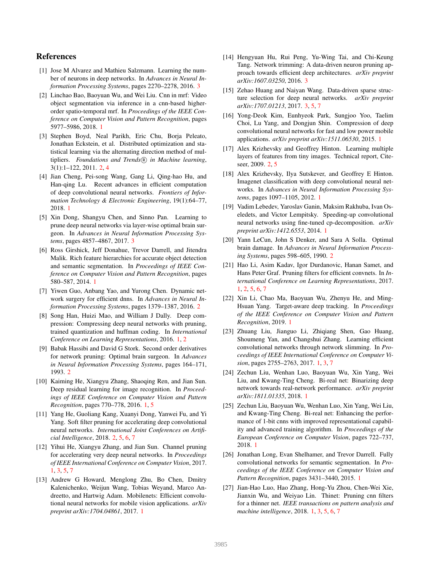## References

- [1] Jose M Alvarez and Mathieu Salzmann. Learning the number of neurons in deep networks. In *Advances in Neural Information Processing Systems*, pages 2270–2278, 2016. 3
- [2] Linchao Bao, Baoyuan Wu, and Wei Liu. Cnn in mrf: Video object segmentation via inference in a cnn-based higherorder spatio-temporal mrf. In *Proceedings of the IEEE Conference on Computer Vision and Pattern Recognition*, pages 5977–5986, 2018. 1
- [3] Stephen Boyd, Neal Parikh, Eric Chu, Borja Peleato, Jonathan Eckstein, et al. Distributed optimization and statistical learning via the alternating direction method of multipliers. Foundations and Trends<sup>(R)</sup> in Machine learning, 3(1):1–122, 2011. 2, 4
- [4] Jian Cheng, Pei-song Wang, Gang Li, Qing-hao Hu, and Han-qing Lu. Recent advances in efficient computation of deep convolutional neural networks. *Frontiers of Information Technology & Electronic Engineering*, 19(1):64–77, 2018. 1
- [5] Xin Dong, Shangyu Chen, and Sinno Pan. Learning to prune deep neural networks via layer-wise optimal brain surgeon. In *Advances in Neural Information Processing Systems*, pages 4857–4867, 2017. 3
- [6] Ross Girshick, Jeff Donahue, Trevor Darrell, and Jitendra Malik. Rich feature hierarchies for accurate object detection and semantic segmentation. In *Proceedings of IEEE Conference on Computer Vision and Pattern Recognition*, pages 580–587, 2014. 1
- [7] Yiwen Guo, Anbang Yao, and Yurong Chen. Dynamic network surgery for efficient dnns. In *Advances in Neural Information Processing Systems*, pages 1379–1387, 2016. 2
- [8] Song Han, Huizi Mao, and William J Dally. Deep compression: Compressing deep neural networks with pruning, trained quantization and huffman coding. In *International Conference on Learning Representations*, 2016. 1, 2
- [9] Babak Hassibi and David G Stork. Second order derivatives for network pruning: Optimal brain surgeon. In *Advances in Neural Information Processing Systems*, pages 164–171, 1993. 2
- [10] Kaiming He, Xiangyu Zhang, Shaoqing Ren, and Jian Sun. Deep residual learning for image recognition. In *Proceedings of IEEE Conference on Computer Vision and Pattern Recognition*, pages 770–778, 2016. 1, 5
- [11] Yang He, Guoliang Kang, Xuanyi Dong, Yanwei Fu, and Yi Yang. Soft filter pruning for accelerating deep convolutional neural networks. *International Joint Conferences on Artificial Intelligence*, 2018. 2, 5, 6, 7
- [12] Yihui He, Xiangyu Zhang, and Jian Sun. Channel pruning for accelerating very deep neural networks. In *Proceedings of IEEE International Conference on Computer Vision*, 2017. 1, 3, 5, 7
- [13] Andrew G Howard, Menglong Zhu, Bo Chen, Dmitry Kalenichenko, Weijun Wang, Tobias Weyand, Marco Andreetto, and Hartwig Adam. Mobilenets: Efficient convolutional neural networks for mobile vision applications. *arXiv preprint arXiv:1704.04861*, 2017. 1
- [14] Hengyuan Hu, Rui Peng, Yu-Wing Tai, and Chi-Keung Tang. Network trimming: A data-driven neuron pruning approach towards efficient deep architectures. *arXiv preprint arXiv:1607.03250*, 2016. 3
- [15] Zehao Huang and Naiyan Wang. Data-driven sparse structure selection for deep neural networks. *arXiv preprint arXiv:1707.01213*, 2017. 3, 5, 7
- [16] Yong-Deok Kim, Eunhyeok Park, Sungjoo Yoo, Taelim Choi, Lu Yang, and Dongjun Shin. Compression of deep convolutional neural networks for fast and low power mobile applications. *arXiv preprint arXiv:1511.06530*, 2015. 1
- [17] Alex Krizhevsky and Geoffrey Hinton. Learning multiple layers of features from tiny images. Technical report, Citeseer, 2009. 2, 5
- [18] Alex Krizhevsky, Ilya Sutskever, and Geoffrey E Hinton. Imagenet classification with deep convolutional neural networks. In *Advances in Neural Information Processing Systems*, pages 1097–1105, 2012. 1
- [19] Vadim Lebedev, Yaroslav Ganin, Maksim Rakhuba, Ivan Oseledets, and Victor Lempitsky. Speeding-up convolutional neural networks using fine-tuned cp-decomposition. *arXiv preprint arXiv:1412.6553*, 2014. 1
- [20] Yann LeCun, John S Denker, and Sara A Solla. Optimal brain damage. In *Advances in Neural Information Processing Systems*, pages 598–605, 1990. 2
- [21] Hao Li, Asim Kadav, Igor Durdanovic, Hanan Samet, and Hans Peter Graf. Pruning filters for efficient convnets. In *International Conference on Learning Representations*, 2017. 1, 2, 5, 6, 7
- [22] Xin Li, Chao Ma, Baoyuan Wu, Zhenyu He, and Ming-Hsuan Yang. Target-aware deep tracking. In *Proceedings of the IEEE Conference on Computer Vision and Pattern Recognition*, 2019. 1
- [23] Zhuang Liu, Jianguo Li, Zhiqiang Shen, Gao Huang, Shoumeng Yan, and Changshui Zhang. Learning efficient convolutional networks through network slimming. In *Proceedings of IEEE International Conference on Computer Vision*, pages 2755–2763, 2017. 1, 3, 7
- [24] Zechun Liu, Wenhan Luo, Baoyuan Wu, Xin Yang, Wei Liu, and Kwang-Ting Cheng. Bi-real net: Binarizing deep network towards real-network performance. *arXiv preprint arXiv:1811.01335*, 2018. 1
- [25] Zechun Liu, Baoyuan Wu, Wenhan Luo, Xin Yang, Wei Liu, and Kwang-Ting Cheng. Bi-real net: Enhancing the performance of 1-bit cnns with improved representational capability and advanced training algorithm. In *Proceedings of the European Conference on Computer Vision*, pages 722–737, 2018. 1
- [26] Jonathan Long, Evan Shelhamer, and Trevor Darrell. Fully convolutional networks for semantic segmentation. In *Proceedings of the IEEE Conference on Computer Vision and Pattern Recognition*, pages 3431–3440, 2015. 1
- [27] Jian-Hao Luo, Hao Zhang, Hong-Yu Zhou, Chen-Wei Xie, Jianxin Wu, and Weiyao Lin. Thinet: Pruning cnn filters for a thinner net. *IEEE transactions on pattern analysis and machine intelligence*, 2018. 1, 3, 5, 6, 7